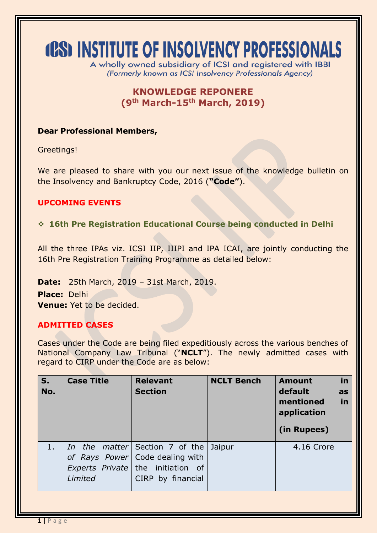# **(CS) INSTITUTE OF INSOLVENCY PROFESSIONALS**

A wholly owned subsidiary of ICSI and registered with IBBI (Formerly known as ICSI Insolvency Professionals Agency)

## **KNOWLEDGE REPONERE (9 th March-15th March, 2019)**

### **Dear Professional Members,**

Greetings!

We are pleased to share with you our next issue of the knowledge bulletin on the Insolvency and Bankruptcy Code, 2016 (**"Code"**).

## **UPCOMING EVENTS**

**16th Pre Registration Educational Course being conducted in Delhi**

All the three IPAs viz. ICSI IIP, IIIPI and IPA ICAI, are jointly conducting the 16th Pre Registration Training Programme as detailed below:

**Date:** 25th March, 2019 – 31st March, 2019.

**Place:** Delhi **Venue:** Yet to be decided.

## **ADMITTED CASES**

Cases under the Code are being filed expeditiously across the various benches of National Company Law Tribunal ("**NCLT**"). The newly admitted cases with regard to CIRP under the Code are as below:

| S.<br>No. | <b>Case Title</b> | <b>Relevant</b><br><b>Section</b>                                                                                                    | <b>NCLT Bench</b> | in<br><b>Amount</b><br>default<br>as<br>in<br>mentioned<br>application<br>(in Rupees) |
|-----------|-------------------|--------------------------------------------------------------------------------------------------------------------------------------|-------------------|---------------------------------------------------------------------------------------|
| 1.7       | Limited           | <i>In the matter</i> Section 7 of the<br>of Rays Power   Code dealing with<br>Experts Private the initiation of<br>CIRP by financial | Jaipur            | 4.16 Crore                                                                            |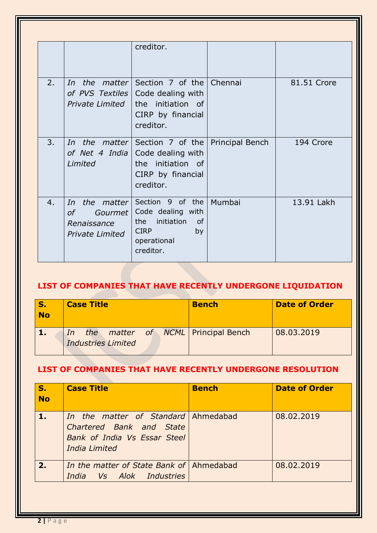|    |                                                                               | creditor.                                                                                                              |                 |             |
|----|-------------------------------------------------------------------------------|------------------------------------------------------------------------------------------------------------------------|-----------------|-------------|
| 2. | In<br>of PVS Textiles<br>Private Limited                                      | <i>the matter</i> Section 7 of the Chennai<br>Code dealing with<br>the initiation of<br>CIRP by financial<br>creditor. |                 | 81.51 Crore |
| 3. | In<br>of Net 4 India<br>Limited                                               | the matter Section 7 of the<br>Code dealing with<br>the initiation of<br>CIRP by financial<br>creditor.                | Principal Bench | 194 Crore   |
| 4. | the matter<br>In<br>$\sigma$ f<br>Gourmet  <br>Renaissance<br>Private Limited | Section 9 of the<br>Code dealing with<br>initiation<br>of<br>the<br><b>CIRP</b><br>by<br>operational<br>creditor.      | Mumbai          | 13.91 Lakh  |

## **LIST OF COMPANIES THAT HAVE RECENTLY UNDERGONE LIQUIDATION**

| S.<br><b>No</b> | <b>Case Title</b>                                           | <b>Bench</b> | <b>Date of Order</b> |
|-----------------|-------------------------------------------------------------|--------------|----------------------|
|                 | In the matter of NCML Principal Bench<br>Industries Limited |              | 08.03.2019           |

## **LIST OF COMPANIES THAT HAVE RECENTLY UNDERGONE RESOLUTION**

| S.<br><b>No</b> | <b>Case Title</b>                                                                                                       | <b>Bench</b> | <b>Date of Order</b> |
|-----------------|-------------------------------------------------------------------------------------------------------------------------|--------------|----------------------|
|                 | In the matter of Standard Ahmedabad<br>Chartered Bank and State<br><b>Bank of India Vs Essar Steel</b><br>India Limited |              | 08.02.2019           |
| 2.              | In the matter of State Bank of Ahmedabad<br>India Vs Alok Industries                                                    |              | 08.02.2019           |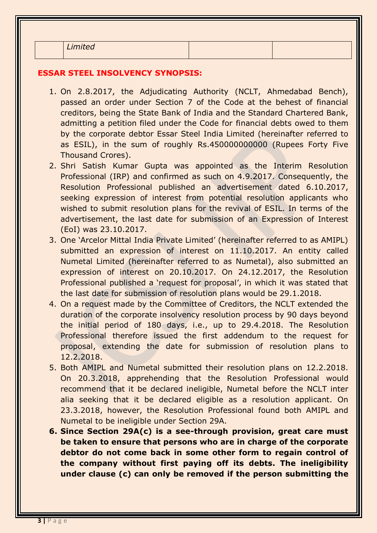*Limited*

#### **ESSAR STEEL INSOLVENCY SYNOPSIS:**

- 1. On 2.8.2017, the Adjudicating Authority (NCLT, Ahmedabad Bench), passed an order under Section 7 of the Code at the behest of financial creditors, being the State Bank of India and the Standard Chartered Bank, admitting a petition filed under the Code for financial debts owed to them by the corporate debtor Essar Steel India Limited (hereinafter referred to as ESIL), in the sum of roughly Rs.450000000000 (Rupees Forty Five Thousand Crores).
- 2. Shri Satish Kumar Gupta was appointed as the Interim Resolution Professional (IRP) and confirmed as such on 4.9.2017. Consequently, the Resolution Professional published an advertisement dated 6.10.2017, seeking expression of interest from potential resolution applicants who wished to submit resolution plans for the revival of ESIL. In terms of the advertisement, the last date for submission of an Expression of Interest (EoI) was 23.10.2017.
- 3. One 'Arcelor Mittal India Private Limited' (hereinafter referred to as AMIPL) submitted an expression of interest on 11.10.2017. An entity called Numetal Limited (hereinafter referred to as Numetal), also submitted an expression of interest on 20.10.2017. On 24.12.2017, the Resolution Professional published a 'request for proposal', in which it was stated that the last date for submission of resolution plans would be 29.1.2018.
- 4. On a request made by the Committee of Creditors, the NCLT extended the duration of the corporate insolvency resolution process by 90 days beyond the initial period of 180 days, i.e., up to 29.4.2018. The Resolution Professional therefore issued the first addendum to the request for proposal, extending the date for submission of resolution plans to 12.2.2018.
- 5. Both AMIPL and Numetal submitted their resolution plans on 12.2.2018. On 20.3.2018, apprehending that the Resolution Professional would recommend that it be declared ineligible, Numetal before the NCLT inter alia seeking that it be declared eligible as a resolution applicant. On 23.3.2018, however, the Resolution Professional found both AMIPL and Numetal to be ineligible under Section 29A.
- **6. Since Section 29A(c) is a see-through provision, great care must be taken to ensure that persons who are in charge of the corporate debtor do not come back in some other form to regain control of the company without first paying off its debts. The ineligibility under clause (c) can only be removed if the person submitting the**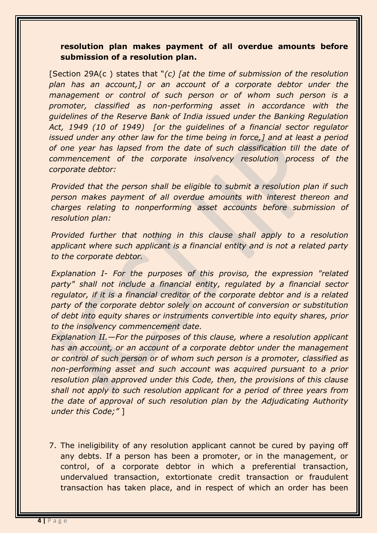## **resolution plan makes payment of all overdue amounts before submission of a resolution plan.**

[Section 29A(c ) states that "*(c) [at the time of submission of the resolution plan has an account,] or an account of a corporate debtor under the management or control of such person or of whom such person is a promoter, classified as non-performing asset in accordance with the guidelines of the Reserve Bank of India issued under the Banking Regulation Act, 1949 (10 of 1949) [or the guidelines of a financial sector regulator issued under any other law for the time being in force,] and at least a period of one year has lapsed from the date of such classification till the date of commencement of the corporate insolvency resolution process of the corporate debtor:* 

*Provided that the person shall be eligible to submit a resolution plan if such person makes payment of all overdue amounts with interest thereon and charges relating to nonperforming asset accounts before submission of resolution plan:* 

*Provided further that nothing in this clause shall apply to a resolution applicant where such applicant is a financial entity and is not a related party to the corporate debtor.* 

*Explanation I- For the purposes of this proviso, the expression "related party" shall not include a financial entity, regulated by a financial sector regulator, if it is a financial creditor of the corporate debtor and is a related party of the corporate debtor solely on account of conversion or substitution of debt into equity shares or instruments convertible into equity shares, prior to the insolvency commencement date.* 

*Explanation II.—For the purposes of this clause, where a resolution applicant has an account, or an account of a corporate debtor under the management or control of such person or of whom such person is a promoter, classified as non-performing asset and such account was acquired pursuant to a prior resolution plan approved under this Code, then, the provisions of this clause shall not apply to such resolution applicant for a period of three years from the date of approval of such resolution plan by the Adjudicating Authority under this Code;"* ]

7. The ineligibility of any resolution applicant cannot be cured by paying off any debts. If a person has been a promoter, or in the management, or control, of a corporate debtor in which a preferential transaction, undervalued transaction, extortionate credit transaction or fraudulent transaction has taken place, and in respect of which an order has been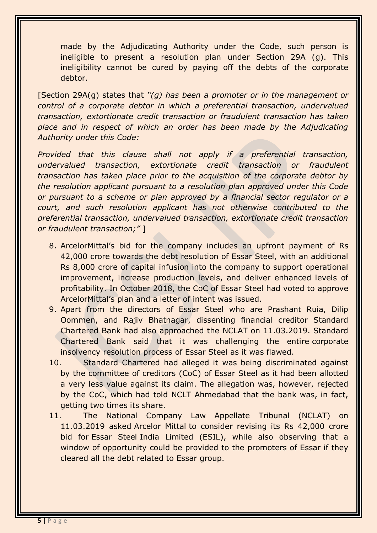made by the Adjudicating Authority under the Code, such person is ineligible to present a resolution plan under Section 29A (g). This ineligibility cannot be cured by paying off the debts of the corporate debtor.

[Section 29A(g) states that *"(g) has been a promoter or in the management or control of a corporate debtor in which a preferential transaction, undervalued transaction, extortionate credit transaction or fraudulent transaction has taken*  place and in respect of which an order has been made by the Adjudicating *Authority under this Code:* 

*Provided that this clause shall not apply if a preferential transaction, undervalued transaction, extortionate credit transaction or fraudulent transaction has taken place prior to the acquisition of the corporate debtor by the resolution applicant pursuant to a resolution plan approved under this Code or pursuant to a scheme or plan approved by a financial sector regulator or a court, and such resolution applicant has not otherwise contributed to the preferential transaction, undervalued transaction, extortionate credit transaction or fraudulent transaction;"* ]

- 8. ArcelorMittal's bid for the company includes an upfront payment of Rs 42,000 crore towards the debt resolution of Essar Steel, with an additional Rs 8,000 crore of capital infusion into the company to support operational improvement, increase production levels, and deliver enhanced levels of profitability. In October 2018, the CoC of Essar Steel had voted to approve ArcelorMittal's plan and a letter of intent was issued.
- 9. Apart from the directors of Essar Steel who are Prashant Ruia, Dilip Oommen, and Rajiv Bhatnagar, dissenting financial creditor Standard Chartered Bank had also approached the NCLAT on 11.03.2019. Standard Chartered Bank said that it was challenging the entire corporate insolvency resolution process of Essar Steel as it was flawed.
- 10. Standard Chartered had alleged it was being discriminated against by the committee of creditors (CoC) of Essar Steel as it had been allotted a very less value against its claim. The allegation was, however, rejected by the CoC, which had told NCLT Ahmedabad that the bank was, in fact, getting two times its share.
- 11. The National Company Law Appellate Tribunal (NCLAT) on 11.03.2019 asked [Arcelor Mittal](https://www.business-standard.com/topic/arcelormittal) to consider revising its Rs 42,000 crore bid for [Essar Steel](https://www.business-standard.com/topic/essar-steel) India Limited (ESIL), while also observing that a window of opportunity could be provided to the promoters of Essar if they cleared all the debt related to Essar group.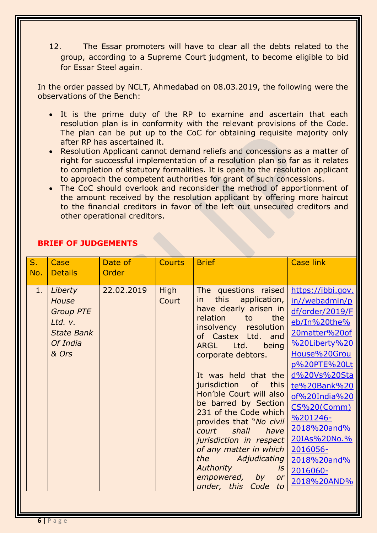12. The Essar promoters will have to clear all the debts related to the group, according to a [Supreme Court](https://www.business-standard.com/topic/supreme-court) judgment, to become eligible to bid for [Essar Steel](https://www.business-standard.com/topic/essar-steel) again.

In the order passed by NCLT, Ahmedabad on 08.03.2019, the following were the observations of the Bench:

- It is the prime duty of the RP to examine and ascertain that each resolution plan is in conformity with the relevant provisions of the Code. The plan can be put up to the CoC for obtaining requisite majority only after RP has ascertained it.
- Resolution Applicant cannot demand reliefs and concessions as a matter of right for successful implementation of a resolution plan so far as it relates to completion of statutory formalities. It is open to the resolution applicant to approach the competent authorities for grant of such concessions.
- The CoC should overlook and reconsider the method of apportionment of the amount received by the resolution applicant by offering more haircut to the financial creditors in favor of the left out unsecured creditors and other operational creditors.

| $S_{1}$<br>No. | Case<br><b>Details</b>                                                                           | Date of<br>Order | <b>Courts</b> | <b>Brief</b>                                                                                                                                                                                                                                                                                                                                                                                                                                                                                                                                       | <b>Case link</b>                                                                                                                                                                                                                                                                                            |
|----------------|--------------------------------------------------------------------------------------------------|------------------|---------------|----------------------------------------------------------------------------------------------------------------------------------------------------------------------------------------------------------------------------------------------------------------------------------------------------------------------------------------------------------------------------------------------------------------------------------------------------------------------------------------------------------------------------------------------------|-------------------------------------------------------------------------------------------------------------------------------------------------------------------------------------------------------------------------------------------------------------------------------------------------------------|
| 1.             | Liberty<br><b>House</b><br><b>Group PTE</b><br>Ltd. v.<br><b>State Bank</b><br>Of India<br>& Ors | 22.02.2019       | High<br>Court | The questions raised<br>this application,<br>in.<br>have clearly arisen in<br>relation<br>the<br>to<br>resolution<br>insolvency<br>of Castex Ltd. and<br>Ltd.<br>ARGL<br>being<br>corporate debtors.<br>It was held that the<br>jurisdiction<br>of<br>this<br>Hon'ble Court will also<br>be barred by Section<br>231 of the Code which<br>provides that "No civil<br>shall<br>court<br>have<br>jurisdiction in respect<br>of any matter in which<br>Adjudicating<br>the<br>Authority<br>İS.<br>empowered,<br>by<br>or<br>under, this<br>Code<br>to | https://ibbi.gov.<br>in//webadmin/p<br>df/order/2019/F<br>eb/In%20the%<br>20matter%20of<br>%20Liberty%20<br>House%20Grou<br>p%20PTE%20Lt<br>d%20Vs%20Sta<br>te%20Bank%20<br>of%20India%20<br>CS%20(Comm)<br>$%201246-$<br>2018%20and%<br>20IAs%20No.%<br>2016056-<br>2018%20and%<br>2016060-<br>2018%20AND% |

## **BRIEF OF JUDGEMENTS**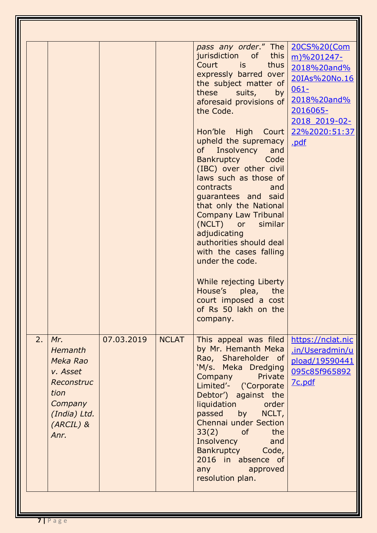|    |                                                                                                              |            |              | pass any order." The<br>jurisdiction of this<br>Court<br>is is<br>thus<br>expressly barred over<br>the subject matter of<br>these<br>suits,<br>by <sub>l</sub><br>aforesaid provisions of<br>the Code.<br>Hon'ble High Court<br>upheld the supremacy<br>Insolvency<br>of<br>and<br><b>Bankruptcy</b><br>Code<br>(IBC) over other civil<br>laws such as those of<br>contracts<br>and<br>quarantees and said<br>that only the National<br><b>Company Law Tribunal</b><br>(NCLT) or similar<br>adjudicating<br>authorities should deal<br>with the cases falling<br>under the code.<br>While rejecting Liberty<br>House's plea, the<br>court imposed a cost<br>of Rs 50 lakh on the<br>company. | 20CS%20(Com<br>m)%201247-<br>2018%20and%<br>20IAs%20No.16<br>$061 -$<br>2018%20and%<br>2016065-<br>2018 2019-02-<br>22%2020:51:37<br>.pdf |
|----|--------------------------------------------------------------------------------------------------------------|------------|--------------|----------------------------------------------------------------------------------------------------------------------------------------------------------------------------------------------------------------------------------------------------------------------------------------------------------------------------------------------------------------------------------------------------------------------------------------------------------------------------------------------------------------------------------------------------------------------------------------------------------------------------------------------------------------------------------------------|-------------------------------------------------------------------------------------------------------------------------------------------|
| 2. | Mr.<br>Hemanth<br>Meka Rao<br>v. Asset<br>Reconstruc<br>tion<br>Company<br>(India) Ltd.<br>(ARCIL) &<br>Anr. | 07.03.2019 | <b>NCLAT</b> | This appeal was filed<br>by Mr. Hemanth Meka<br>Rao, Shareholder of<br>'M/s. Meka Dredging<br>Private<br>Company<br>Limited'- ('Corporate<br>Debtor') against the<br>liquidation order<br>passed by NCLT,<br>Chennai under Section<br>$33(2)$ of<br>the<br>Insolvency and<br>Bankruptcy Code,<br>2016 in absence of<br>any the control of the control of the control of the control of the control of the control of the control of th<br>approved<br>resolution plan.                                                                                                                                                                                                                       | https://nclat.nic<br>.in/Useradmin/u<br>pload/19590441<br>095c85f965892<br>7c.pdf                                                         |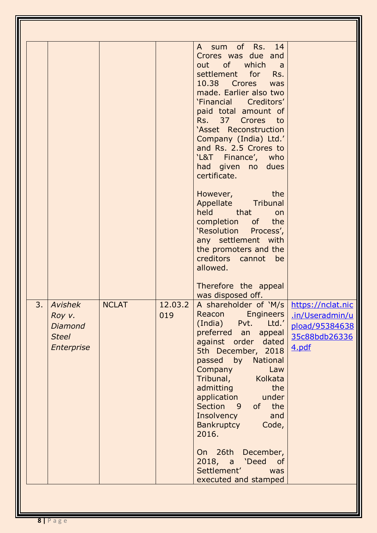| 3.<br><b>Avishek</b><br>Roy v.<br><b>Diamond</b><br><b>Steel</b><br>Enterprise | <b>NCLAT</b> | 12.03.2<br>019 | A sum of Rs. 14<br>Crores was due and<br>out of which<br>a<br>settlement for Rs.<br>10.38 Crores was<br>made. Earlier also two<br>'Financial Creditors'<br>paid total amount of<br>Rs. 37 Crores to<br>'Asset Reconstruction<br>Company (India) Ltd.'<br>and Rs. 2.5 Crores to<br>'L&T Finance', who<br>had given no dues<br>certificate.<br>the<br>However,<br>Appellate Tribunal<br>held that<br>on<br>completion<br>of the<br>'Resolution Process',<br>any settlement with<br>the promoters and the<br>creditors cannot<br>be<br>allowed.<br>Therefore the appeal<br>was disposed off.<br>A shareholder of 'M/s  <br>Reacon<br><b>Engineers</b><br>Pvt.<br>Ltd.'<br>(India)<br>preferred an<br>appeal<br>against order dated<br>5th December, 2018<br>passed by National<br>Law<br>Company<br>Tribunal,<br>Kolkata<br>admitting<br>the<br>application<br>under<br>Section 9<br>of the<br>Insolvency<br>and<br><b>Bankruptcy</b><br>Code,<br>2016.<br>On 26th December,<br>2018, a 'Deed of<br>Settlement'<br>was<br>executed and stamped | https://nclat.nic<br>.in/Useradmin/u<br>pload/95384638<br>35c88bdb26336<br>4.pdf |
|--------------------------------------------------------------------------------|--------------|----------------|---------------------------------------------------------------------------------------------------------------------------------------------------------------------------------------------------------------------------------------------------------------------------------------------------------------------------------------------------------------------------------------------------------------------------------------------------------------------------------------------------------------------------------------------------------------------------------------------------------------------------------------------------------------------------------------------------------------------------------------------------------------------------------------------------------------------------------------------------------------------------------------------------------------------------------------------------------------------------------------------------------------------------------------------|----------------------------------------------------------------------------------|